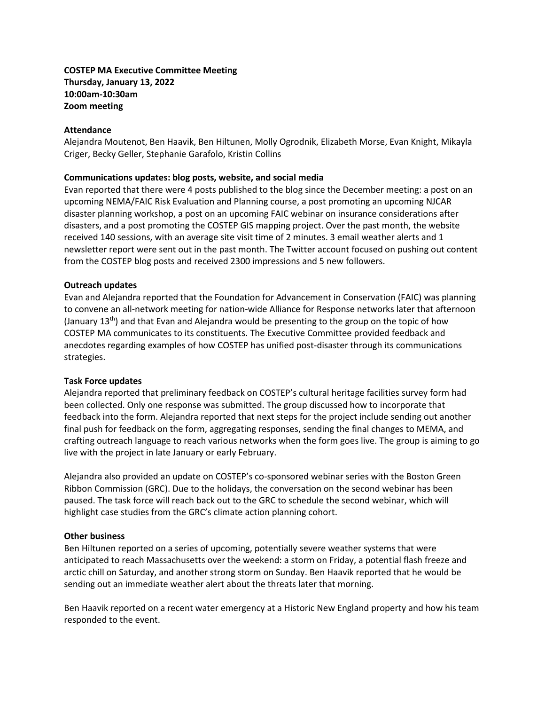## **COSTEP MA Executive Committee Meeting Thursday, January 13, 2022 10:00am-10:30am Zoom meeting**

### **Attendance**

Alejandra Moutenot, Ben Haavik, Ben Hiltunen, Molly Ogrodnik, Elizabeth Morse, Evan Knight, Mikayla Criger, Becky Geller, Stephanie Garafolo, Kristin Collins

### **Communications updates: blog posts, website, and social media**

Evan reported that there were 4 posts published to the blog since the December meeting: a post on an upcoming NEMA/FAIC Risk Evaluation and Planning course, a post promoting an upcoming NJCAR disaster planning workshop, a post on an upcoming FAIC webinar on insurance considerations after disasters, and a post promoting the COSTEP GIS mapping project. Over the past month, the website received 140 sessions, with an average site visit time of 2 minutes. 3 email weather alerts and 1 newsletter report were sent out in the past month. The Twitter account focused on pushing out content from the COSTEP blog posts and received 2300 impressions and 5 new followers.

### **Outreach updates**

Evan and Alejandra reported that the Foundation for Advancement in Conservation (FAIC) was planning to convene an all-network meeting for nation-wide Alliance for Response networks later that afternoon (January  $13<sup>th</sup>$ ) and that Evan and Alejandra would be presenting to the group on the topic of how COSTEP MA communicates to its constituents. The Executive Committee provided feedback and anecdotes regarding examples of how COSTEP has unified post-disaster through its communications strategies.

#### **Task Force updates**

Alejandra reported that preliminary feedback on COSTEP's cultural heritage facilities survey form had been collected. Only one response was submitted. The group discussed how to incorporate that feedback into the form. Alejandra reported that next steps for the project include sending out another final push for feedback on the form, aggregating responses, sending the final changes to MEMA, and crafting outreach language to reach various networks when the form goes live. The group is aiming to go live with the project in late January or early February.

Alejandra also provided an update on COSTEP's co-sponsored webinar series with the Boston Green Ribbon Commission (GRC). Due to the holidays, the conversation on the second webinar has been paused. The task force will reach back out to the GRC to schedule the second webinar, which will highlight case studies from the GRC's climate action planning cohort.

## **Other business**

Ben Hiltunen reported on a series of upcoming, potentially severe weather systems that were anticipated to reach Massachusetts over the weekend: a storm on Friday, a potential flash freeze and arctic chill on Saturday, and another strong storm on Sunday. Ben Haavik reported that he would be sending out an immediate weather alert about the threats later that morning.

Ben Haavik reported on a recent water emergency at a Historic New England property and how his team responded to the event.